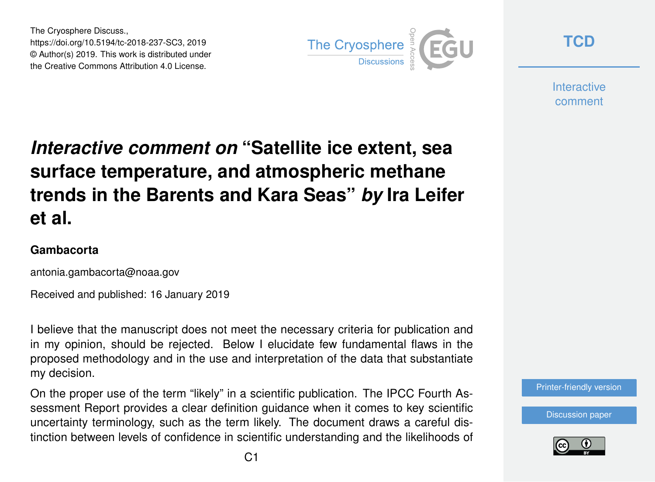The Cryosphere Discuss., https://doi.org/10.5194/tc-2018-237-SC3, 2019 © Author(s) 2019. This work is distributed under the Creative Commons Attribution 4.0 License.



**[TCD](https://www.the-cryosphere-discuss.net/)**

**Interactive** comment

# *Interactive comment on* **"Satellite ice extent, sea surface temperature, and atmospheric methane trends in the Barents and Kara Seas"** *by* **Ira Leifer et al.**

#### **Gambacorta**

antonia.gambacorta@noaa.gov

Received and published: 16 January 2019

I believe that the manuscript does not meet the necessary criteria for publication and in my opinion, should be rejected. Below I elucidate few fundamental flaws in the proposed methodology and in the use and interpretation of the data that substantiate my decision.

On the proper use of the term "likely" in a scientific publication. The IPCC Fourth Assessment Report provides a clear definition guidance when it comes to key scientific uncertainty terminology, such as the term likely. The document draws a careful distinction between levels of confidence in scientific understanding and the likelihoods of



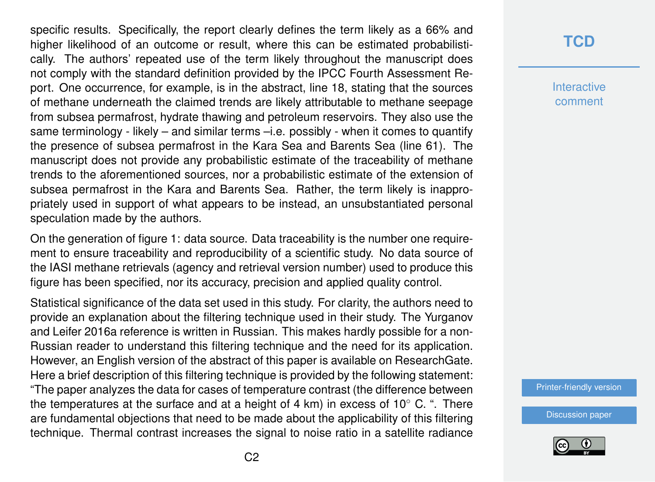specific results. Specifically, the report clearly defines the term likely as a 66% and higher likelihood of an outcome or result, where this can be estimated probabilistically. The authors' repeated use of the term likely throughout the manuscript does not comply with the standard definition provided by the IPCC Fourth Assessment Report. One occurrence, for example, is in the abstract, line 18, stating that the sources of methane underneath the claimed trends are likely attributable to methane seepage from subsea permafrost, hydrate thawing and petroleum reservoirs. They also use the same terminology - likely – and similar terms –i.e. possibly - when it comes to quantify the presence of subsea permafrost in the Kara Sea and Barents Sea (line 61). The manuscript does not provide any probabilistic estimate of the traceability of methane trends to the aforementioned sources, nor a probabilistic estimate of the extension of subsea permafrost in the Kara and Barents Sea. Rather, the term likely is inappropriately used in support of what appears to be instead, an unsubstantiated personal speculation made by the authors.

On the generation of figure 1: data source. Data traceability is the number one requirement to ensure traceability and reproducibility of a scientific study. No data source of the IASI methane retrievals (agency and retrieval version number) used to produce this figure has been specified, nor its accuracy, precision and applied quality control.

Statistical significance of the data set used in this study. For clarity, the authors need to provide an explanation about the filtering technique used in their study. The Yurganov and Leifer 2016a reference is written in Russian. This makes hardly possible for a non-Russian reader to understand this filtering technique and the need for its application. However, an English version of the abstract of this paper is available on ResearchGate. Here a brief description of this filtering technique is provided by the following statement: "The paper analyzes the data for cases of temperature contrast (the difference between the temperatures at the surface and at a height of 4 km) in excess of 10 $^{\circ}$  C. ". There are fundamental objections that need to be made about the applicability of this filtering technique. Thermal contrast increases the signal to noise ratio in a satellite radiance

## **[TCD](https://www.the-cryosphere-discuss.net/)**

**Interactive** comment

[Printer-friendly version](https://www.the-cryosphere-discuss.net/tc-2018-237/tc-2018-237-SC3-print.pdf)

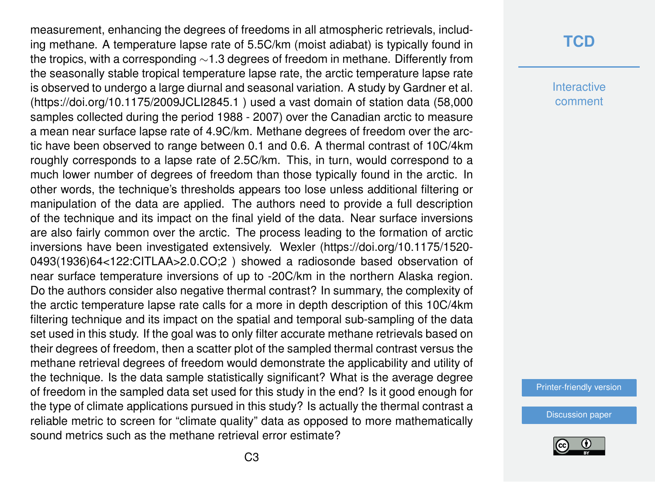measurement, enhancing the degrees of freedoms in all atmospheric retrievals, including methane. A temperature lapse rate of 5.5C/km (moist adiabat) is typically found in the tropics, with a corresponding ∼1.3 degrees of freedom in methane. Differently from the seasonally stable tropical temperature lapse rate, the arctic temperature lapse rate is observed to undergo a large diurnal and seasonal variation. A study by Gardner et al. (https://doi.org/10.1175/2009JCLI2845.1 ) used a vast domain of station data (58,000 samples collected during the period 1988 - 2007) over the Canadian arctic to measure a mean near surface lapse rate of 4.9C/km. Methane degrees of freedom over the arctic have been observed to range between 0.1 and 0.6. A thermal contrast of 10C/4km roughly corresponds to a lapse rate of 2.5C/km. This, in turn, would correspond to a much lower number of degrees of freedom than those typically found in the arctic. In other words, the technique's thresholds appears too lose unless additional filtering or manipulation of the data are applied. The authors need to provide a full description of the technique and its impact on the final yield of the data. Near surface inversions are also fairly common over the arctic. The process leading to the formation of arctic inversions have been investigated extensively. Wexler (https://doi.org/10.1175/1520- 0493(1936)64<122:CITLAA>2.0.CO;2 ) showed a radiosonde based observation of near surface temperature inversions of up to -20C/km in the northern Alaska region. Do the authors consider also negative thermal contrast? In summary, the complexity of the arctic temperature lapse rate calls for a more in depth description of this 10C/4km filtering technique and its impact on the spatial and temporal sub-sampling of the data set used in this study. If the goal was to only filter accurate methane retrievals based on their degrees of freedom, then a scatter plot of the sampled thermal contrast versus the methane retrieval degrees of freedom would demonstrate the applicability and utility of the technique. Is the data sample statistically significant? What is the average degree of freedom in the sampled data set used for this study in the end? Is it good enough for the type of climate applications pursued in this study? Is actually the thermal contrast a reliable metric to screen for "climate quality" data as opposed to more mathematically sound metrics such as the methane retrieval error estimate?

## **[TCD](https://www.the-cryosphere-discuss.net/)**

**Interactive** comment

[Printer-friendly version](https://www.the-cryosphere-discuss.net/tc-2018-237/tc-2018-237-SC3-print.pdf)

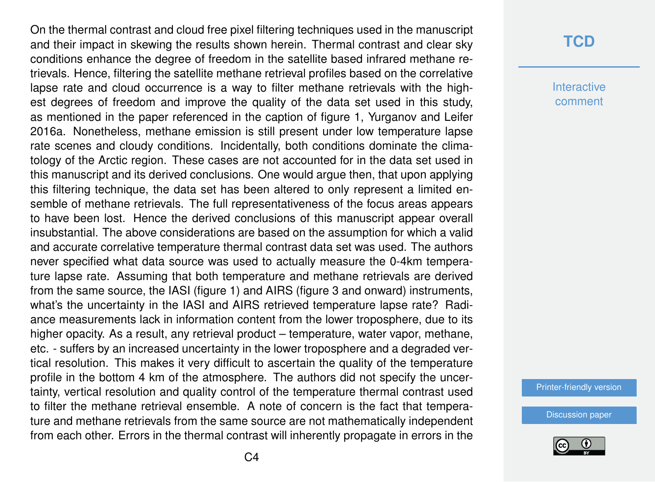On the thermal contrast and cloud free pixel filtering techniques used in the manuscript and their impact in skewing the results shown herein. Thermal contrast and clear sky conditions enhance the degree of freedom in the satellite based infrared methane retrievals. Hence, filtering the satellite methane retrieval profiles based on the correlative lapse rate and cloud occurrence is a way to filter methane retrievals with the highest degrees of freedom and improve the quality of the data set used in this study, as mentioned in the paper referenced in the caption of figure 1, Yurganov and Leifer 2016a. Nonetheless, methane emission is still present under low temperature lapse rate scenes and cloudy conditions. Incidentally, both conditions dominate the climatology of the Arctic region. These cases are not accounted for in the data set used in this manuscript and its derived conclusions. One would argue then, that upon applying this filtering technique, the data set has been altered to only represent a limited ensemble of methane retrievals. The full representativeness of the focus areas appears to have been lost. Hence the derived conclusions of this manuscript appear overall insubstantial. The above considerations are based on the assumption for which a valid and accurate correlative temperature thermal contrast data set was used. The authors never specified what data source was used to actually measure the 0-4km temperature lapse rate. Assuming that both temperature and methane retrievals are derived from the same source, the IASI (figure 1) and AIRS (figure 3 and onward) instruments, what's the uncertainty in the IASI and AIRS retrieved temperature lapse rate? Radiance measurements lack in information content from the lower troposphere, due to its higher opacity. As a result, any retrieval product – temperature, water vapor, methane, etc. - suffers by an increased uncertainty in the lower troposphere and a degraded vertical resolution. This makes it very difficult to ascertain the quality of the temperature profile in the bottom 4 km of the atmosphere. The authors did not specify the uncertainty, vertical resolution and quality control of the temperature thermal contrast used to filter the methane retrieval ensemble. A note of concern is the fact that temperature and methane retrievals from the same source are not mathematically independent from each other. Errors in the thermal contrast will inherently propagate in errors in the

### **[TCD](https://www.the-cryosphere-discuss.net/)**

**Interactive** comment

[Printer-friendly version](https://www.the-cryosphere-discuss.net/tc-2018-237/tc-2018-237-SC3-print.pdf)

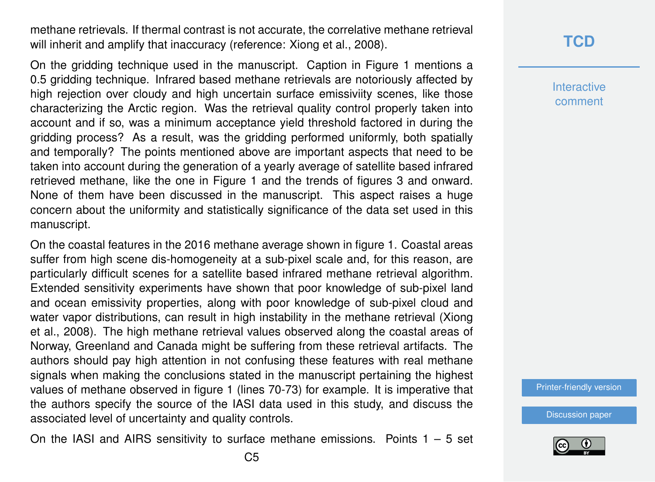methane retrievals. If thermal contrast is not accurate, the correlative methane retrieval will inherit and amplify that inaccuracy (reference: Xiong et al., 2008).

On the gridding technique used in the manuscript. Caption in Figure 1 mentions a 0.5 gridding technique. Infrared based methane retrievals are notoriously affected by high rejection over cloudy and high uncertain surface emissiviity scenes, like those characterizing the Arctic region. Was the retrieval quality control properly taken into account and if so, was a minimum acceptance yield threshold factored in during the gridding process? As a result, was the gridding performed uniformly, both spatially and temporally? The points mentioned above are important aspects that need to be taken into account during the generation of a yearly average of satellite based infrared retrieved methane, like the one in Figure 1 and the trends of figures 3 and onward. None of them have been discussed in the manuscript. This aspect raises a huge concern about the uniformity and statistically significance of the data set used in this manuscript.

On the coastal features in the 2016 methane average shown in figure 1. Coastal areas suffer from high scene dis-homogeneity at a sub-pixel scale and, for this reason, are particularly difficult scenes for a satellite based infrared methane retrieval algorithm. Extended sensitivity experiments have shown that poor knowledge of sub-pixel land and ocean emissivity properties, along with poor knowledge of sub-pixel cloud and water vapor distributions, can result in high instability in the methane retrieval (Xiong et al., 2008). The high methane retrieval values observed along the coastal areas of Norway, Greenland and Canada might be suffering from these retrieval artifacts. The authors should pay high attention in not confusing these features with real methane signals when making the conclusions stated in the manuscript pertaining the highest values of methane observed in figure 1 (lines 70-73) for example. It is imperative that the authors specify the source of the IASI data used in this study, and discuss the associated level of uncertainty and quality controls.

On the IASI and AIRS sensitivity to surface methane emissions. Points  $1 - 5$  set

## **[TCD](https://www.the-cryosphere-discuss.net/)**

**Interactive** comment

[Printer-friendly version](https://www.the-cryosphere-discuss.net/tc-2018-237/tc-2018-237-SC3-print.pdf)

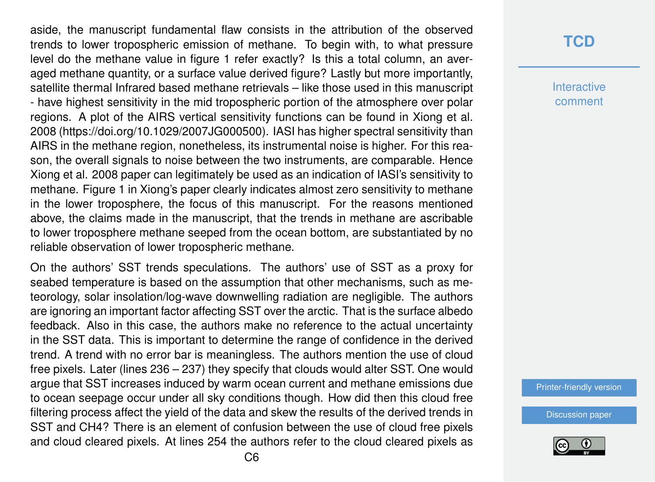aside, the manuscript fundamental flaw consists in the attribution of the observed trends to lower tropospheric emission of methane. To begin with, to what pressure level do the methane value in figure 1 refer exactly? Is this a total column, an averaged methane quantity, or a surface value derived figure? Lastly but more importantly, satellite thermal Infrared based methane retrievals – like those used in this manuscript - have highest sensitivity in the mid tropospheric portion of the atmosphere over polar regions. A plot of the AIRS vertical sensitivity functions can be found in Xiong et al. 2008 (https://doi.org/10.1029/2007JG000500). IASI has higher spectral sensitivity than AIRS in the methane region, nonetheless, its instrumental noise is higher. For this reason, the overall signals to noise between the two instruments, are comparable. Hence Xiong et al. 2008 paper can legitimately be used as an indication of IASI's sensitivity to methane. Figure 1 in Xiong's paper clearly indicates almost zero sensitivity to methane in the lower troposphere, the focus of this manuscript. For the reasons mentioned above, the claims made in the manuscript, that the trends in methane are ascribable to lower troposphere methane seeped from the ocean bottom, are substantiated by no reliable observation of lower tropospheric methane.

On the authors' SST trends speculations. The authors' use of SST as a proxy for seabed temperature is based on the assumption that other mechanisms, such as meteorology, solar insolation/log-wave downwelling radiation are negligible. The authors are ignoring an important factor affecting SST over the arctic. That is the surface albedo feedback. Also in this case, the authors make no reference to the actual uncertainty in the SST data. This is important to determine the range of confidence in the derived trend. A trend with no error bar is meaningless. The authors mention the use of cloud free pixels. Later (lines 236 – 237) they specify that clouds would alter SST. One would argue that SST increases induced by warm ocean current and methane emissions due to ocean seepage occur under all sky conditions though. How did then this cloud free filtering process affect the yield of the data and skew the results of the derived trends in SST and CH4? There is an element of confusion between the use of cloud free pixels and cloud cleared pixels. At lines 254 the authors refer to the cloud cleared pixels as

## **[TCD](https://www.the-cryosphere-discuss.net/)**

**Interactive** comment

[Printer-friendly version](https://www.the-cryosphere-discuss.net/tc-2018-237/tc-2018-237-SC3-print.pdf)

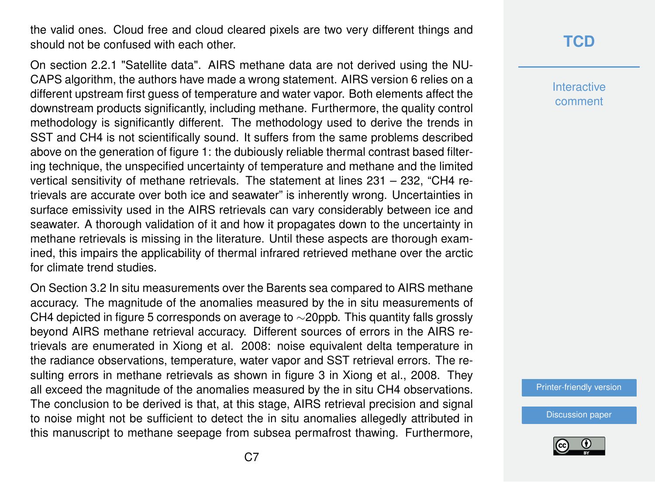the valid ones. Cloud free and cloud cleared pixels are two very different things and should not be confused with each other.

On section 2.2.1 "Satellite data". AIRS methane data are not derived using the NU-CAPS algorithm, the authors have made a wrong statement. AIRS version 6 relies on a different upstream first guess of temperature and water vapor. Both elements affect the downstream products significantly, including methane. Furthermore, the quality control methodology is significantly different. The methodology used to derive the trends in SST and CH4 is not scientifically sound. It suffers from the same problems described above on the generation of figure 1: the dubiously reliable thermal contrast based filtering technique, the unspecified uncertainty of temperature and methane and the limited vertical sensitivity of methane retrievals. The statement at lines 231 – 232, "CH4 retrievals are accurate over both ice and seawater" is inherently wrong. Uncertainties in surface emissivity used in the AIRS retrievals can vary considerably between ice and seawater. A thorough validation of it and how it propagates down to the uncertainty in methane retrievals is missing in the literature. Until these aspects are thorough examined, this impairs the applicability of thermal infrared retrieved methane over the arctic for climate trend studies.

On Section 3.2 In situ measurements over the Barents sea compared to AIRS methane accuracy. The magnitude of the anomalies measured by the in situ measurements of CH4 depicted in figure 5 corresponds on average to ∼20ppb. This quantity falls grossly beyond AIRS methane retrieval accuracy. Different sources of errors in the AIRS retrievals are enumerated in Xiong et al. 2008: noise equivalent delta temperature in the radiance observations, temperature, water vapor and SST retrieval errors. The resulting errors in methane retrievals as shown in figure 3 in Xiong et al., 2008. They all exceed the magnitude of the anomalies measured by the in situ CH4 observations. The conclusion to be derived is that, at this stage, AIRS retrieval precision and signal to noise might not be sufficient to detect the in situ anomalies allegedly attributed in this manuscript to methane seepage from subsea permafrost thawing. Furthermore,

## **[TCD](https://www.the-cryosphere-discuss.net/)**

**Interactive** comment

[Printer-friendly version](https://www.the-cryosphere-discuss.net/tc-2018-237/tc-2018-237-SC3-print.pdf)